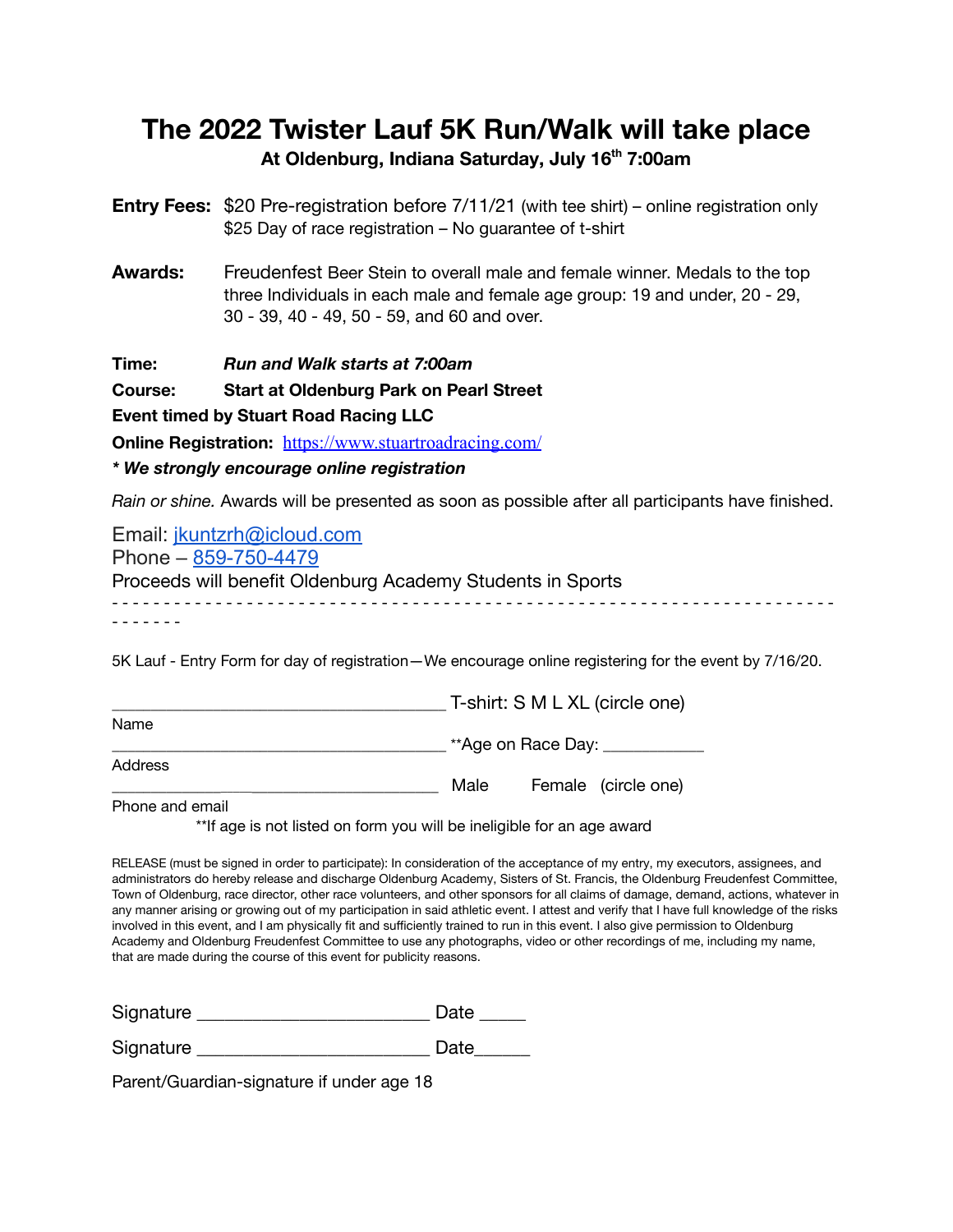## **The 2022 Twister Lauf 5K Run/Walk will take place At Oldenburg, Indiana Saturday, July 16th 7:00am**

**Entry Fees:** \$20 Pre-registration before 7/11/21 (with tee shirt) – online registration only \$25 Day of race registration – No guarantee of t-shirt

**Awards:** Freudenfest Beer Stein to overall male and female winner. Medals to the top three Individuals in each male and female age group: 19 and under, 20 - 29, 30 - 39, 40 - 49, 50 - 59, and 60 and over.

**Time:** *Run and Walk starts at 7:00am*

**Course: Start at Oldenburg Park on Pearl Street**

**Event timed by Stuart Road Racing LLC**

**Online Registration:** <https://www.stuartroadracing.com/>

## *\* We strongly encourage online registration*

*Rain or shine.* Awards will be presented as soon as possible after all participants have finished.

| Email: jkuntzrh@icloud.com                                 |
|------------------------------------------------------------|
| Phone - 859-750-4479                                       |
| Proceeds will benefit Oldenburg Academy Students in Sports |
|                                                            |

5K Lauf - Entry Form for day of registration—We encourage online registering for the event by 7/16/20.

|         |      | T-shirt: S M L XL (circle one) |  |
|---------|------|--------------------------------|--|
| Name    |      |                                |  |
|         |      | **Age on Race Day: __          |  |
| Address |      |                                |  |
|         | Male | Female (circle one)            |  |
|         |      |                                |  |

Phone and email

\*\*If age is not listed on form you will be ineligible for an age award

RELEASE (must be signed in order to participate): In consideration of the acceptance of my entry, my executors, assignees, and administrators do hereby release and discharge Oldenburg Academy, Sisters of St. Francis, the Oldenburg Freudenfest Committee, Town of Oldenburg, race director, other race volunteers, and other sponsors for all claims of damage, demand, actions, whatever in any manner arising or growing out of my participation in said athletic event. I attest and verify that I have full knowledge of the risks involved in this event, and I am physically fit and sufficiently trained to run in this event. I also give permission to Oldenburg Academy and Oldenburg Freudenfest Committee to use any photographs, video or other recordings of me, including my name, that are made during the course of this event for publicity reasons.

Signature **Date Date Date** 

Signature **Example 20** Date

Parent/Guardian-signature if under age 18